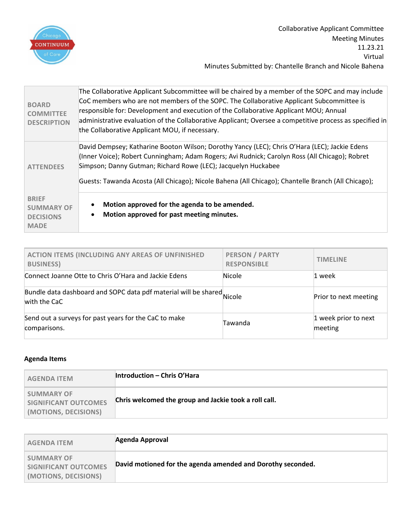

| <b>BOARD</b><br><b>COMMITTEE</b><br><b>DESCRIPTION</b>               | The Collaborative Applicant Subcommittee will be chaired by a member of the SOPC and may include<br>CoC members who are not members of the SOPC. The Collaborative Applicant Subcommittee is<br>responsible for: Development and execution of the Collaborative Applicant MOU; Annual<br>administrative evaluation of the Collaborative Applicant; Oversee a competitive process as specified in<br>the Collaborative Applicant MOU, if necessary. |
|----------------------------------------------------------------------|----------------------------------------------------------------------------------------------------------------------------------------------------------------------------------------------------------------------------------------------------------------------------------------------------------------------------------------------------------------------------------------------------------------------------------------------------|
| <b>ATTENDEES</b>                                                     | David Dempsey; Katharine Booton Wilson; Dorothy Yancy (LEC); Chris O'Hara (LEC); Jackie Edens<br>(Inner Voice); Robert Cunningham; Adam Rogers; Avi Rudnick; Carolyn Ross (All Chicago); Robret<br>Simpson; Danny Gutman; Richard Rowe (LEC); Jacquelyn Huckabee<br>Guests: Tawanda Acosta (All Chicago); Nicole Bahena (All Chicago); Chantelle Branch (All Chicago);                                                                             |
| <b>BRIEF</b><br><b>SUMMARY OF</b><br><b>DECISIONS</b><br><b>MADE</b> | Motion approved for the agenda to be amended.<br>Motion approved for past meeting minutes.                                                                                                                                                                                                                                                                                                                                                         |

| ACTION ITEMS (INCLUDING ANY AREAS OF UNFINISHED<br><b>BUSINESS)</b>                    | <b>PERSON / PARTY</b><br><b>RESPONSIBLE</b> | <b>TIMELINE</b>                 |
|----------------------------------------------------------------------------------------|---------------------------------------------|---------------------------------|
| Connect Joanne Otte to Chris O'Hara and Jackie Edens                                   | Nicole                                      | 1 week                          |
| Bundle data dashboard and SOPC data pdf material will be shared Nicole<br>with the CaC |                                             | Prior to next meeting           |
| Send out a surveys for past years for the CaC to make<br>comparisons.                  | Tawanda                                     | 1 week prior to next<br>meeting |

## **Agenda Items**

| <b>AGENDA ITEM</b>                                                | <b>Introduction - Chris O'Hara</b>                    |
|-------------------------------------------------------------------|-------------------------------------------------------|
| <b>SUMMARY OF</b><br>SIGNIFICANT OUTCOMES<br>(MOTIONS, DECISIONS) | Chris welcomed the group and Jackie took a roll call. |

| <b>AGENDA ITEM</b>                                                       | Agenda Approval                                             |
|--------------------------------------------------------------------------|-------------------------------------------------------------|
| <b>SUMMARY OF</b><br><b>SIGNIFICANT OUTCOMES</b><br>(MOTIONS, DECISIONS) | David motioned for the agenda amended and Dorothy seconded. |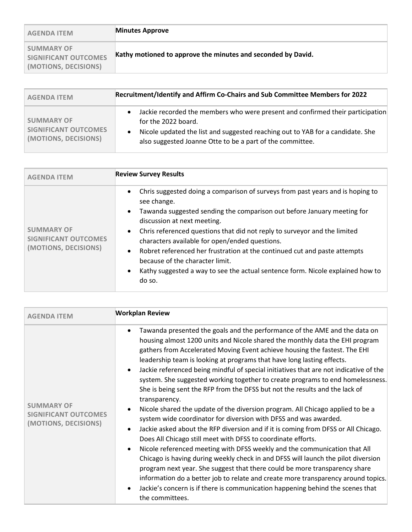| <b>AGENDA ITEM</b>                                                | <b>Minutes Approve</b>                                       |
|-------------------------------------------------------------------|--------------------------------------------------------------|
| <b>SUMMARY OF</b><br>SIGNIFICANT OUTCOMES<br>(MOTIONS, DECISIONS) | Kathy motioned to approve the minutes and seconded by David. |

| <b>AGENDA ITEM</b>                                                | Recruitment/Identify and Affirm Co-Chairs and Sub Committee Members for 2022                                                                                                                                                                                      |  |
|-------------------------------------------------------------------|-------------------------------------------------------------------------------------------------------------------------------------------------------------------------------------------------------------------------------------------------------------------|--|
| <b>SUMMARY OF</b><br>SIGNIFICANT OUTCOMES<br>(MOTIONS, DECISIONS) | Jackie recorded the members who were present and confirmed their participation<br>for the 2022 board.<br>Nicole updated the list and suggested reaching out to YAB for a candidate. She<br>$\bullet$<br>also suggested Joanne Otte to be a part of the committee. |  |

| <b>AGENDA ITEM</b>                                                       | <b>Review Survey Results</b>                                                                                                                                                                                                                                                                                                                                                                                                                                                                                                                                                                                        |
|--------------------------------------------------------------------------|---------------------------------------------------------------------------------------------------------------------------------------------------------------------------------------------------------------------------------------------------------------------------------------------------------------------------------------------------------------------------------------------------------------------------------------------------------------------------------------------------------------------------------------------------------------------------------------------------------------------|
| <b>SUMMARY OF</b><br><b>SIGNIFICANT OUTCOMES</b><br>(MOTIONS, DECISIONS) | Chris suggested doing a comparison of surveys from past years and is hoping to<br>$\bullet$<br>see change.<br>Tawanda suggested sending the comparison out before January meeting for<br>$\bullet$<br>discussion at next meeting.<br>Chris referenced questions that did not reply to surveyor and the limited<br>$\bullet$<br>characters available for open/ended questions.<br>Robret referenced her frustration at the continued cut and paste attempts<br>$\bullet$<br>because of the character limit.<br>Kathy suggested a way to see the actual sentence form. Nicole explained how to<br>$\bullet$<br>do so. |

| <b>AGENDA ITEM</b>                                                       | <b>Workplan Review</b>                                                                                                                                                                                                                                                                                                                                                                                                                                                                                                                                                                                                                                                                                                                                                                                                                                                                                                                                                                                                                                                                                                                                                                                                                                                                                                                                                                                               |
|--------------------------------------------------------------------------|----------------------------------------------------------------------------------------------------------------------------------------------------------------------------------------------------------------------------------------------------------------------------------------------------------------------------------------------------------------------------------------------------------------------------------------------------------------------------------------------------------------------------------------------------------------------------------------------------------------------------------------------------------------------------------------------------------------------------------------------------------------------------------------------------------------------------------------------------------------------------------------------------------------------------------------------------------------------------------------------------------------------------------------------------------------------------------------------------------------------------------------------------------------------------------------------------------------------------------------------------------------------------------------------------------------------------------------------------------------------------------------------------------------------|
| <b>SUMMARY OF</b><br><b>SIGNIFICANT OUTCOMES</b><br>(MOTIONS, DECISIONS) | Tawanda presented the goals and the performance of the AME and the data on<br>$\bullet$<br>housing almost 1200 units and Nicole shared the monthly data the EHI program<br>gathers from Accelerated Moving Event achieve housing the fastest. The EHI<br>leadership team is looking at programs that have long lasting effects.<br>Jackie referenced being mindful of special initiatives that are not indicative of the<br>$\bullet$<br>system. She suggested working together to create programs to end homelessness.<br>She is being sent the RFP from the DFSS but not the results and the lack of<br>transparency.<br>Nicole shared the update of the diversion program. All Chicago applied to be a<br>$\bullet$<br>system wide coordinator for diversion with DFSS and was awarded.<br>Jackie asked about the RFP diversion and if it is coming from DFSS or All Chicago.<br>$\bullet$<br>Does All Chicago still meet with DFSS to coordinate efforts.<br>Nicole referenced meeting with DFSS weekly and the communication that All<br>$\bullet$<br>Chicago is having during weekly check in and DFSS will launch the pilot diversion<br>program next year. She suggest that there could be more transparency share<br>information do a better job to relate and create more transparency around topics.<br>Jackie's concern is if there is communication happening behind the scenes that<br>the committees. |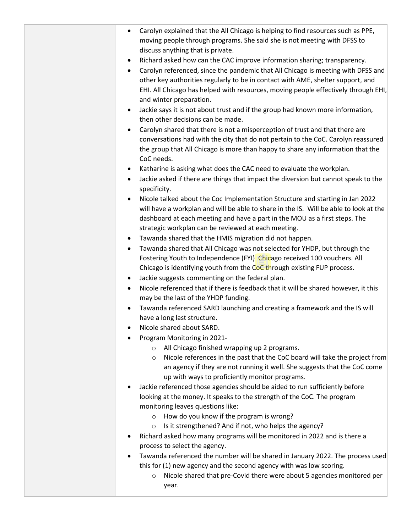| Carolyn explained that the All Chicago is helping to find resources such as PPE,<br>moving people through programs. She said she is not meeting with DFSS to                                                                                                                                                             |
|--------------------------------------------------------------------------------------------------------------------------------------------------------------------------------------------------------------------------------------------------------------------------------------------------------------------------|
| discuss anything that is private.                                                                                                                                                                                                                                                                                        |
| Richard asked how can the CAC improve information sharing; transparency.<br>٠                                                                                                                                                                                                                                            |
| Carolyn referenced, since the pandemic that All Chicago is meeting with DFSS and<br>$\bullet$<br>other key authorities regularly to be in contact with AME, shelter support, and<br>EHI. All Chicago has helped with resources, moving people effectively through EHI,<br>and winter preparation.                        |
| Jackie says it is not about trust and if the group had known more information,<br>$\bullet$<br>then other decisions can be made.                                                                                                                                                                                         |
| Carolyn shared that there is not a misperception of trust and that there are<br>$\bullet$<br>conversations had with the city that do not pertain to the CoC. Carolyn reassured<br>the group that All Chicago is more than happy to share any information that the<br>CoC needs.                                          |
| Katharine is asking what does the CAC need to evaluate the workplan.<br>٠<br>Jackie asked if there are things that impact the diversion but cannot speak to the<br>$\bullet$<br>specificity.                                                                                                                             |
| Nicole talked about the Coc Implementation Structure and starting in Jan 2022<br>$\bullet$<br>will have a workplan and will be able to share in the IS. Will be able to look at the<br>dashboard at each meeting and have a part in the MOU as a first steps. The<br>strategic workplan can be reviewed at each meeting. |
| Tawanda shared that the HMIS migration did not happen.<br>٠                                                                                                                                                                                                                                                              |
| Tawanda shared that All Chicago was not selected for YHDP, but through the<br>$\bullet$<br>Fostering Youth to Independence (FYI) Chicago received 100 vouchers. All<br>Chicago is identifying youth from the CoC through existing FUP process.                                                                           |
| Jackie suggests commenting on the federal plan.<br>٠                                                                                                                                                                                                                                                                     |
| Nicole referenced that if there is feedback that it will be shared however, it this<br>may be the last of the YHDP funding.                                                                                                                                                                                              |
| Tawanda referenced SARD launching and creating a framework and the IS will<br>$\bullet$<br>have a long last structure.                                                                                                                                                                                                   |
| Nicole shared about SARD.                                                                                                                                                                                                                                                                                                |
| Program Monitoring in 2021-                                                                                                                                                                                                                                                                                              |
| All Chicago finished wrapping up 2 programs.<br>$\circ$<br>Nicole references in the past that the CoC board will take the project from<br>$\circ$<br>an agency if they are not running it well. She suggests that the CoC come<br>up with ways to proficiently monitor programs.                                         |
| Jackie referenced those agencies should be aided to run sufficiently before<br>looking at the money. It speaks to the strength of the CoC. The program<br>monitoring leaves questions like:<br>How do you know if the program is wrong?<br>$\circ$                                                                       |
| Is it strengthened? And if not, who helps the agency?<br>$\circ$                                                                                                                                                                                                                                                         |
| Richard asked how many programs will be monitored in 2022 and is there a<br>process to select the agency.                                                                                                                                                                                                                |
| Tawanda referenced the number will be shared in January 2022. The process used<br>this for (1) new agency and the second agency with was low scoring.                                                                                                                                                                    |
| Nicole shared that pre-Covid there were about 5 agencies monitored per<br>$\circ$<br>year.                                                                                                                                                                                                                               |
|                                                                                                                                                                                                                                                                                                                          |